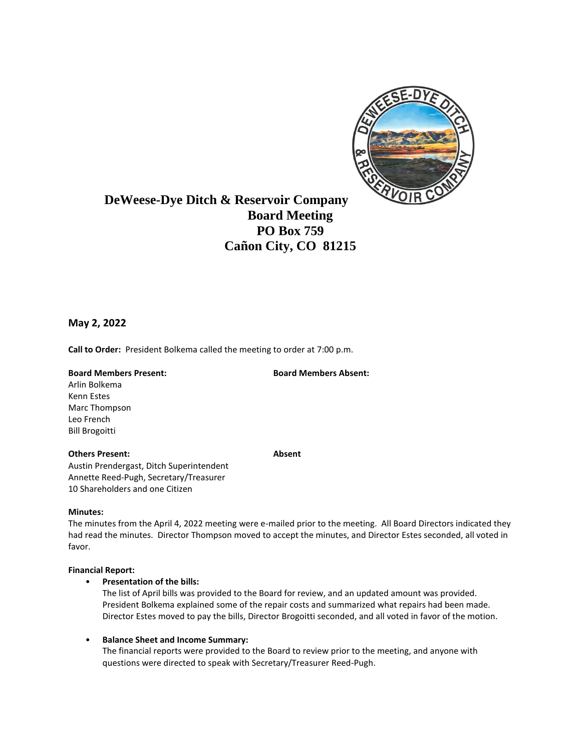

# **DeWeese-Dye Ditch & Reservoir Company Board Meeting PO Box 759 Cañon City, CO 81215**

## **May 2, 2022**

**Call to Order:** President Bolkema called the meeting to order at 7:00 p.m.

#### **Board Members Present: Board Members Absent:**

Arlin Bolkema Kenn Estes Marc Thompson Leo French Bill Brogoitti

#### **Others Present: Absent**

Austin Prendergast, Ditch Superintendent Annette Reed-Pugh, Secretary/Treasurer 10 Shareholders and one Citizen

### **Minutes:**

The minutes from the April 4, 2022 meeting were e-mailed prior to the meeting. All Board Directors indicated they had read the minutes. Director Thompson moved to accept the minutes, and Director Estes seconded, all voted in favor.

### **Financial Report:**

• **Presentation of the bills:**

The list of April bills was provided to the Board for review, and an updated amount was provided. President Bolkema explained some of the repair costs and summarized what repairs had been made. Director Estes moved to pay the bills, Director Brogoitti seconded, and all voted in favor of the motion.

• **Balance Sheet and Income Summary:**

The financial reports were provided to the Board to review prior to the meeting, and anyone with questions were directed to speak with Secretary/Treasurer Reed-Pugh.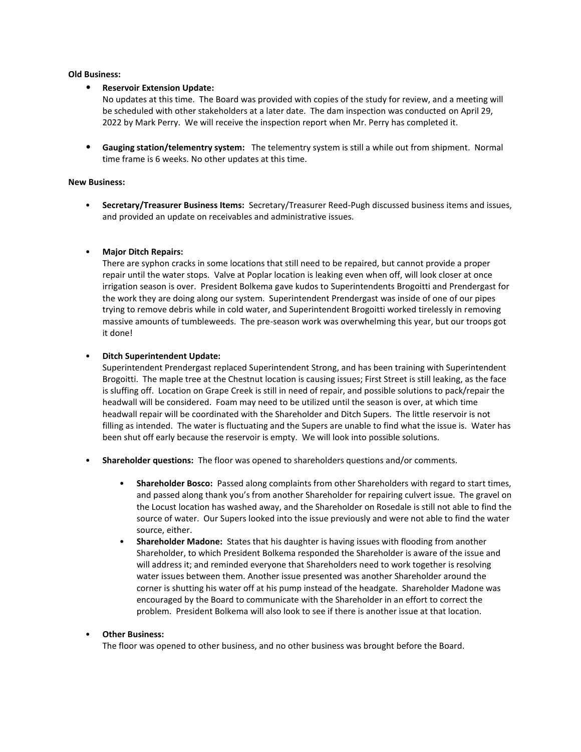#### **Old Business:**

#### • **Reservoir Extension Update:**

No updates at this time. The Board was provided with copies of the study for review, and a meeting will be scheduled with other stakeholders at a later date. The dam inspection was conducted on April 29, 2022 by Mark Perry. We will receive the inspection report when Mr. Perry has completed it.

• **Gauging station/telementry system:** The telementry system is still a while out from shipment. Normal time frame is 6 weeks. No other updates at this time.

#### **New Business:**

• **Secretary/Treasurer Business Items:** Secretary/Treasurer Reed-Pugh discussed business items and issues, and provided an update on receivables and administrative issues.

#### • **Major Ditch Repairs:**

There are syphon cracks in some locations that still need to be repaired, but cannot provide a proper repair until the water stops. Valve at Poplar location is leaking even when off, will look closer at once irrigation season is over. President Bolkema gave kudos to Superintendents Brogoitti and Prendergast for the work they are doing along our system. Superintendent Prendergast was inside of one of our pipes trying to remove debris while in cold water, and Superintendent Brogoitti worked tirelessly in removing massive amounts of tumbleweeds. The pre-season work was overwhelming this year, but our troops got it done!

#### • **Ditch Superintendent Update:**

Superintendent Prendergast replaced Superintendent Strong, and has been training with Superintendent Brogoitti. The maple tree at the Chestnut location is causing issues; First Street is still leaking, as the face is sluffing off. Location on Grape Creek is still in need of repair, and possible solutions to pack/repair the headwall will be considered. Foam may need to be utilized until the season is over, at which time headwall repair will be coordinated with the Shareholder and Ditch Supers. The little reservoir is not filling as intended. The water is fluctuating and the Supers are unable to find what the issue is. Water has been shut off early because the reservoir is empty. We will look into possible solutions.

- **Shareholder questions:** The floor was opened to shareholders questions and/or comments.
	- **Shareholder Bosco:** Passed along complaints from other Shareholders with regard to start times, and passed along thank you's from another Shareholder for repairing culvert issue. The gravel on the Locust location has washed away, and the Shareholder on Rosedale is still not able to find the source of water. Our Supers looked into the issue previously and were not able to find the water source, either.
	- **Shareholder Madone:** States that his daughter is having issues with flooding from another Shareholder, to which President Bolkema responded the Shareholder is aware of the issue and will address it; and reminded everyone that Shareholders need to work together is resolving water issues between them. Another issue presented was another Shareholder around the corner is shutting his water off at his pump instead of the headgate. Shareholder Madone was encouraged by the Board to communicate with the Shareholder in an effort to correct the problem. President Bolkema will also look to see if there is another issue at that location.

#### • **Other Business:**

The floor was opened to other business, and no other business was brought before the Board.